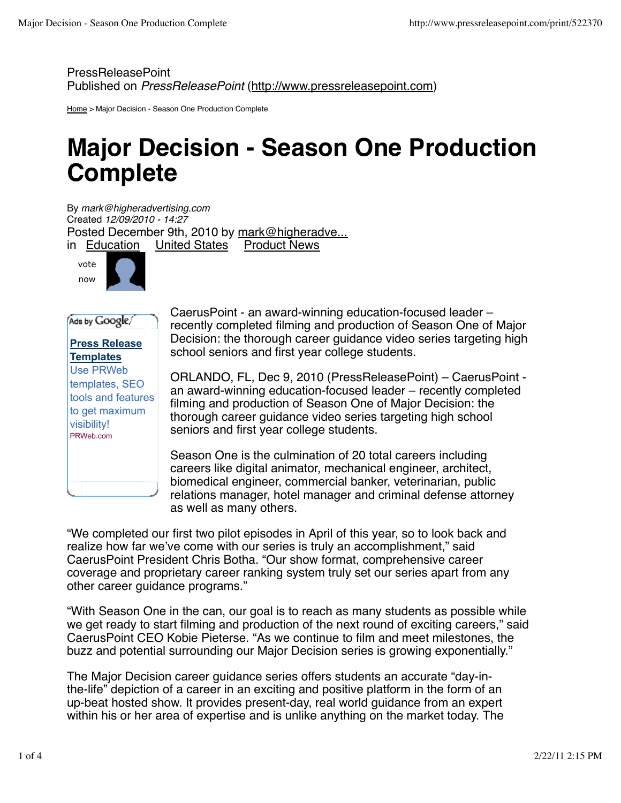PressReleasePoint Published on *PressReleasePoint* (http://www.pressreleasepoint.com)

Home > Major Decision - Season One Production Complete

## **Major Decision - Season One Production Complete**

By *mark@higheradvertising.com* Created *12/09/2010 - 14:27* Posted December 9th, 2010 by mark@higheradve...<br>in Education United States Product News in Education United States



Ads by Google **Press Release Templates** Use PRWeb templates, SEO tools and features to get maximum visibility! PRWeb.com

CaerusPoint - an award-winning education-focused leader – recently completed filming and production of Season One of Major Decision: the thorough career guidance video series targeting high school seniors and first year college students.

ORLANDO, FL, Dec 9, 2010 (PressReleasePoint) – CaerusPoint an award-winning education-focused leader – recently completed filming and production of Season One of Major Decision: the thorough career guidance video series targeting high school seniors and first year college students.

Season One is the culmination of 20 total careers including careers like digital animator, mechanical engineer, architect, biomedical engineer, commercial banker, veterinarian, public relations manager, hotel manager and criminal defense attorney as well as many others.

"We completed our first two pilot episodes in April of this year, so to look back and realize how far we've come with our series is truly an accomplishment," said CaerusPoint President Chris Botha. "Our show format, comprehensive career coverage and proprietary career ranking system truly set our series apart from any other career guidance programs."

"With Season One in the can, our goal is to reach as many students as possible while we get ready to start filming and production of the next round of exciting careers," said CaerusPoint CEO Kobie Pieterse. "As we continue to film and meet milestones, the buzz and potential surrounding our Major Decision series is growing exponentially."

The Major Decision career guidance series offers students an accurate "day-inthe-life" depiction of a career in an exciting and positive platform in the form of an up-beat hosted show. It provides present-day, real world guidance from an expert within his or her area of expertise and is unlike anything on the market today. The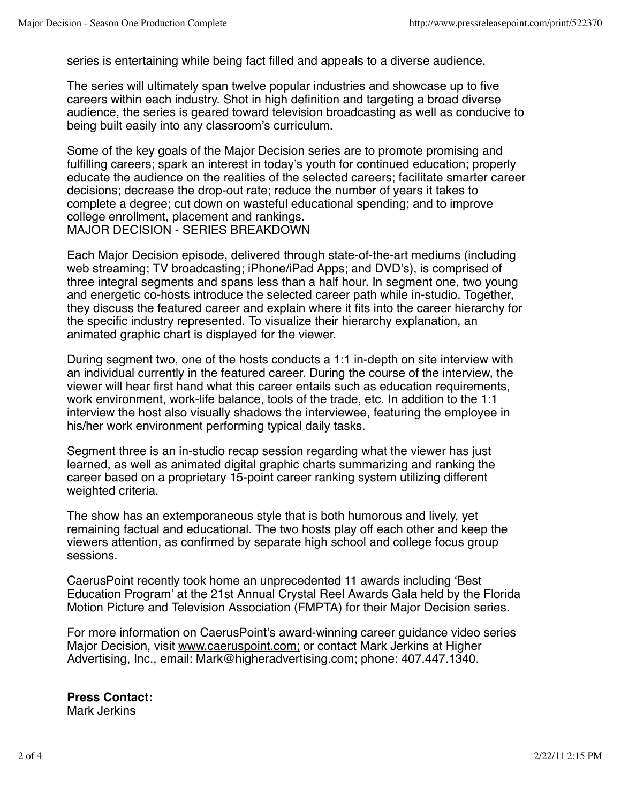series is entertaining while being fact filled and appeals to a diverse audience.

The series will ultimately span twelve popular industries and showcase up to five careers within each industry. Shot in high definition and targeting a broad diverse audience, the series is geared toward television broadcasting as well as conducive to being built easily into any classroom's curriculum.

Some of the key goals of the Major Decision series are to promote promising and fulfilling careers; spark an interest in today's youth for continued education; properly educate the audience on the realities of the selected careers; facilitate smarter career decisions; decrease the drop-out rate; reduce the number of years it takes to complete a degree; cut down on wasteful educational spending; and to improve college enrollment, placement and rankings. MAJOR DECISION - SERIES BREAKDOWN

Each Major Decision episode, delivered through state-of-the-art mediums (including web streaming; TV broadcasting; iPhone/iPad Apps; and DVD's), is comprised of three integral segments and spans less than a half hour. In segment one, two young and energetic co-hosts introduce the selected career path while in-studio. Together, they discuss the featured career and explain where it fits into the career hierarchy for the specific industry represented. To visualize their hierarchy explanation, an animated graphic chart is displayed for the viewer.

During segment two, one of the hosts conducts a 1:1 in-depth on site interview with an individual currently in the featured career. During the course of the interview, the viewer will hear first hand what this career entails such as education requirements, work environment, work-life balance, tools of the trade, etc. In addition to the 1:1 interview the host also visually shadows the interviewee, featuring the employee in his/her work environment performing typical daily tasks.

Segment three is an in-studio recap session regarding what the viewer has just learned, as well as animated digital graphic charts summarizing and ranking the career based on a proprietary 15-point career ranking system utilizing different weighted criteria.

The show has an extemporaneous style that is both humorous and lively, yet remaining factual and educational. The two hosts play off each other and keep the viewers attention, as confirmed by separate high school and college focus group sessions.

CaerusPoint recently took home an unprecedented 11 awards including ʻBest Education Program' at the 21st Annual Crystal Reel Awards Gala held by the Florida Motion Picture and Television Association (FMPTA) for their Major Decision series.

For more information on CaerusPoint's award-winning career guidance video series Major Decision, visit www.caeruspoint.com; or contact Mark Jerkins at Higher Advertising, Inc., email: Mark@higheradvertising.com; phone: 407.447.1340.

**Press Contact:** Mark Jerkins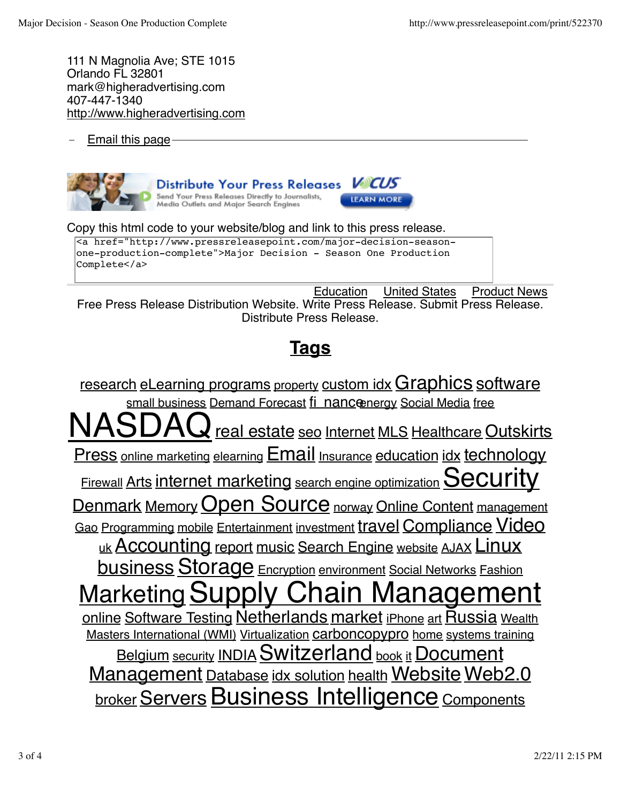111 N Magnolia Ave; STE 1015 Orlando FL 32801 mark@higheradvertising.com 407-447-1340 http://www.higheradvertising.com

Email this page



**Send Your Press Releases Directly to Journalists,**<br>Media Outlets and Major Search Engines

Copy this html code to your website/blog and link to this press release.

<a href="http://www.pressreleasepoint.com/major-decision-seasonone-production-complete">Major Decision - Season One Production Complete</a>

Education United States Product News Free Press Release Distribution Website. Write Press Release. Submit Press Release. Distribute Press Release.

## **Tags**

research eLearning programs property custom idx Graphics software small business Demand Forecast fi nanceenergy Social Media free  $\lambda$  real estate seo Internet MLS Healthcare Outskirts Press online marketing elearning **Email** Insurance education idx technology Firewall Arts internet marketing search engine optimization  $SeCUIity$ Denmark Memory Open Source norway Online Content management Gao Programming mobile Entertainment investment travel Compliance Video uk Accounting report music Search Engine website AJAX Linux business Storage Encryption environment Social Networks Fashion **Marketing Supply Chain Managem** online Software Testing Netherlands market iPhone art Russia Wealth Masters International (WMI) Virtualization carboncopypro home systems training Belgium security INDIA Switzerland book it Document Management Database idx solution health Website Web2.0 **broker Servers Business Intelligence Components**